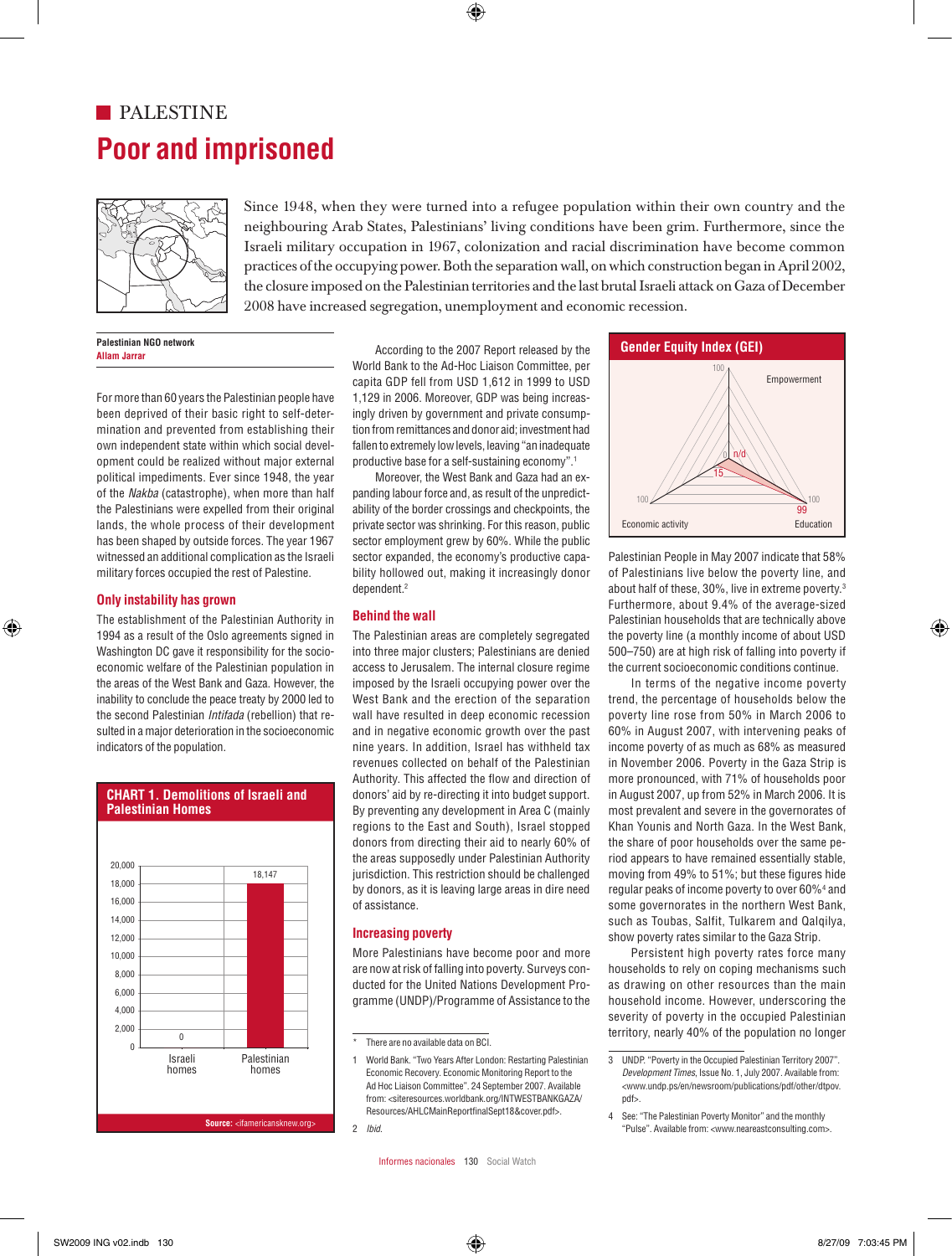# **Poor and imprisoned** 26 **PALESTINE**



Since 1948, when they were turned into a refugee population within their own country and the neighbouring Arab States, Palestinians' living conditions have been grim. Furthermore, since the Israeli military occupation in 1967, colonization and racial discrimination have become common practices of the occupying power. Both the separation wall, on which construction began in April 2002, the closure imposed on the Palestinian territories and the last brutal Israeli attack on Gaza of December 2008 have increased segregation, unemployment and economic recession.

> **Palestinian NGO network Allam Jarrar**

For more than 60 years the Palestinian people have been deprived of their basic right to self-determination and prevented from establishing their own independent state within which social development could be realized without major external political impediments. Ever since 1948, the year of the *Nakba* (catastrophe), when more than half the Palestinians were expelled from their original lands, the whole process of their development has been shaped by outside forces. The year 1967 witnessed an additional complication as the Israeli military forces occupied the rest of Palestine.

#### **Only instability has grown**

The establishment of the Palestinian Authority in 1994 as a result of the Oslo agreements signed in Washington DC gave it responsibility for the socioeconomic welfare of the Palestinian population in the areas of the West Bank and Gaza. However, the inability to conclude the peace treaty by 2000 led to the second Palestinian *Intifada* (rebellion) that resulted in a major deterioration in the socioeconomic indicators of the population.



**CHART 1. Demolitions of Israeli and Palestinian Homes**

According to the 2007 Report released by the World Bank to the Ad-Hoc Liaison Committee, per capita GDP fell from USD 1,612 in 1999 to USD 1,129 in 2006. Moreover, GDP was being increasingly driven by government and private consumption from remittances and donor aid; investment had fallen to extremely low levels, leaving "an inadequate ialien to extremely low levels, leaving -amiliadequ<br>productive base for a self-sustaining economy".<sup>1</sup>

Moreover, the West Bank and Gaza had an expanding labour force and, as result of the unpredictability of the border crossings and checkpoints, the private sector was shrinking. For this reason, public sector employment grew by 60%. While the public sector expanded, the economy's productive capability hollowed out, making it increasingly donor dependent.2 employment grew by 60%, while the public<br>expanded, the economy's productive capa- Palestinian People in May 2007 indicate that 58%

#### **Behind the wall**

The Palestinian areas are completely segregated into three major clusters; Palestinians are denied access to Jerusalem. The internal closure regime imposed by the Israeli occupying power over the West Bank and the erection of the separation wall have resulted in deep economic recession and in negative economic growth over the past nine years. In addition, Israel has withheld tax revenues collected on behalf of the Palestinian Authority. This affected the flow and direction of donors' aid by re-directing it into budget support. By preventing any development in Area C (mainly regions to the East and South), Israel stopped donors from directing their aid to nearly 60% of the areas supposedly under Palestinian Authority 18,147 **18,147 Instruction Should be challenged** by donors, as it is leaving large areas in dire need of assistance.

#### **Increasing poverty**

More Palestinians have become poor and more are now at risk of falling into poverty. Surveys con-10% ducted for the United Nations Development Programme (UNDP)/Programme of Assistance to the 5%



of Palestinians live below the poverty line, and about half of these, 30%, live in extreme poverty.3 Furthermore, about 9.4% of the average-sized Palestinian households that are technically above the poverty line (a monthly income of about USD 500–750) are at high risk of falling into poverty if the current socioeconomic conditions continue.

In terms of the negative income poverty trend, the percentage of households below the poverty line rose from 50% in March 2006 to 60% in August 2007, with intervening peaks of income poverty of as much as 68% as measured in November 2006. Poverty in the Gaza Strip is more pronounced, with 71% of households poor in August 2007, up from 52% in March 2006. It is most prevalent and severe in the governorates of Khan Younis and North Gaza. In the West Bank, the share of poor households over the same period appears to have remained essentially stable, moving from 49% to 51%; but these figures hide regular peaks of income poverty to over 60%4 and some governorates in the northern West Bank, such as Toubas, Salfit, Tulkarem and Qalqilya, show poverty rates similar to the Gaza Strip.

Persistent high poverty rates force many households to rely on coping mechanisms such as drawing on other resources than the main household income. However, underscoring the severity of poverty in the occupied Palestinian territory, nearly 40% of the population no longer

0

<sup>\*</sup> There are no available data on BCI. 0%

<sup>1</sup> World Bank. "Two Years After London: Restarting Palestinian Economic Recovery. Economic Monitoring Report to the Ad Hoc Liaison Committee". 24 September 2007. Available from: <siteresources.worldbank.org/INTWESTBANKGAZA/ Resources/AHLCMainReportfinalSept18&cover.pdf>.

<sup>2</sup> *Ibid*.

<sup>3</sup> UNDP. "Poverty in the Occupied Palestinian Territory 2007". *Development Times*, Issue No. 1, July 2007. Available from: <www.undp.ps/en/newsroom/publications/pdf/other/dtpov. pdf>.

<sup>4</sup> See: "The Palestinian Poverty Monitor" and the monthly "Pulse". Available from: <www.neareastconsulting.com>.<br>
Thid. Counces Indianapolisation of the settlement of the settlement of the settlement of the settlement of the settlement of the settlement of the settlement of the s